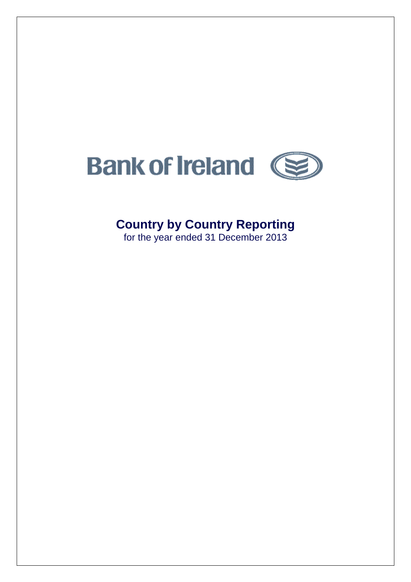

# **Country by Country Reporting**

for the year ended 31 December 2013